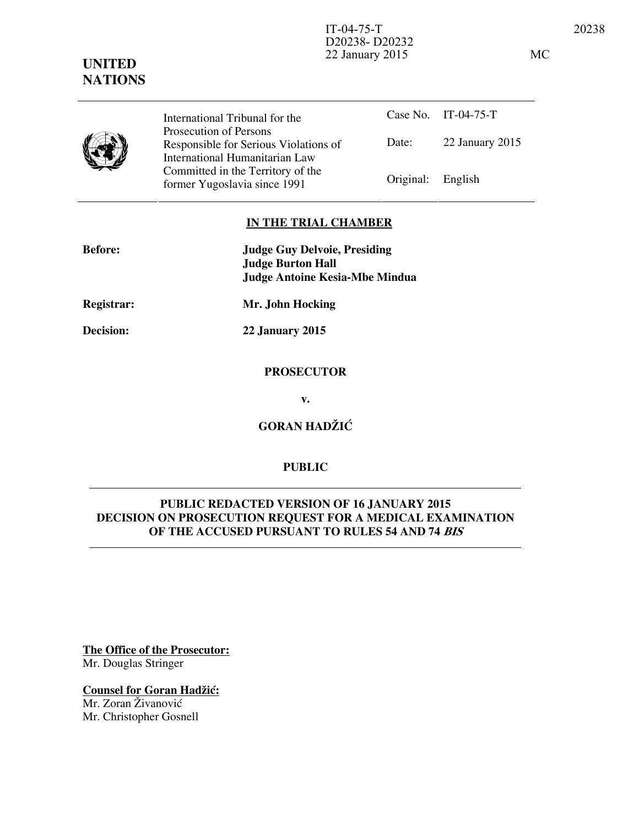IT-04-75-T 20238 D20238- D20232 22 January 2015 MC

# **UNITED NATIONS**

Case No. IT-04-75-T Date: 22 January 2015 International Tribunal for the Prosecution of Persons Responsible for Serious Violations of International Humanitarian Law Committed in the Territory of the Former Yugoslavia since 1991 Original: English

### **IN THE TRIAL CHAMBER**

| <b>Before:</b>    | <b>Judge Guy Delvoie, Presiding</b><br><b>Judge Burton Hall</b><br><b>Judge Antoine Kesia-Mbe Mindua</b> |
|-------------------|----------------------------------------------------------------------------------------------------------|
| <b>Registrar:</b> | Mr. John Hocking                                                                                         |
| <b>Decision:</b>  | 22 January 2015                                                                                          |
|                   |                                                                                                          |

### **PROSECUTOR**

**v.** 

**GORAN HADŽIĆ** 

# **PUBLIC**

# **PUBLIC REDACTED VERSION OF 16 JANUARY 2015 DECISION ON PROSECUTION REQUEST FOR A MEDICAL EXAMINATION OF THE ACCUSED PURSUANT TO RULES 54 AND 74 BIS**

**The Office of the Prosecutor:** Mr. Douglas Stringer

**Counsel for Goran Hadžić:** Mr. Zoran Živanović Mr. Christopher Gosnell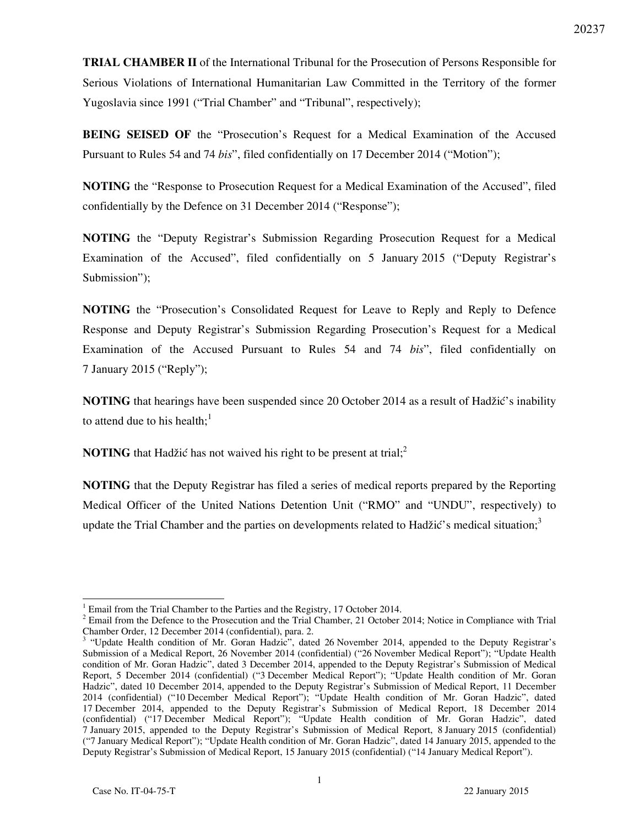**TRIAL CHAMBER II** of the International Tribunal for the Prosecution of Persons Responsible for Serious Violations of International Humanitarian Law Committed in the Territory of the former Yugoslavia since 1991 ("Trial Chamber" and "Tribunal", respectively);

**BEING SEISED OF** the "Prosecution's Request for a Medical Examination of the Accused Pursuant to Rules 54 and 74 *bis*", filed confidentially on 17 December 2014 ("Motion");

**NOTING** the "Response to Prosecution Request for a Medical Examination of the Accused", filed confidentially by the Defence on 31 December 2014 ("Response");

**NOTING** the "Deputy Registrar's Submission Regarding Prosecution Request for a Medical Examination of the Accused", filed confidentially on 5 January 2015 ("Deputy Registrar's Submission");

**NOTING** the "Prosecution's Consolidated Request for Leave to Reply and Reply to Defence Response and Deputy Registrar's Submission Regarding Prosecution's Request for a Medical Examination of the Accused Pursuant to Rules 54 and 74 *bis*", filed confidentially on 7 January 2015 ("Reply");

**NOTING** that hearings have been suspended since 20 October 2014 as a result of Hadžić's inability to attend due to his health: $<sup>1</sup>$ </sup>

**NOTING** that Hadžić has not waived his right to be present at trial;<sup>2</sup>

**NOTING** that the Deputy Registrar has filed a series of medical reports prepared by the Reporting Medical Officer of the United Nations Detention Unit ("RMO" and "UNDU", respectively) to update the Trial Chamber and the parties on developments related to Hadžić's medical situation;<sup>3</sup>

 $\overline{a}$ 

<sup>1</sup> Email from the Trial Chamber to the Parties and the Registry, 17 October 2014.

 $2^2$  Email from the Defence to the Prosecution and the Trial Chamber, 21 October 2014; Notice in Compliance with Trial

Chamber Order, 12 December 2014 (confidential), para. 2. 3 "Update Health condition of Mr. Goran Hadzic", dated 26 November 2014, appended to the Deputy Registrar's Submission of a Medical Report, 26 November 2014 (confidential) ("26 November Medical Report"); "Update Health condition of Mr. Goran Hadzic", dated 3 December 2014, appended to the Deputy Registrar's Submission of Medical Report, 5 December 2014 (confidential) ("3 December Medical Report"); "Update Health condition of Mr. Goran Hadzic", dated 10 December 2014, appended to the Deputy Registrar's Submission of Medical Report, 11 December 2014 (confidential) ("10 December Medical Report"); "Update Health condition of Mr. Goran Hadzic", dated 17 December 2014, appended to the Deputy Registrar's Submission of Medical Report, 18 December 2014 (confidential) ("17 December Medical Report"); "Update Health condition of Mr. Goran Hadzic", dated 7 January 2015, appended to the Deputy Registrar's Submission of Medical Report, 8 January 2015 (confidential) ("7 January Medical Report"); "Update Health condition of Mr. Goran Hadzic", dated 14 January 2015, appended to the Deputy Registrar's Submission of Medical Report, 15 January 2015 (confidential) ("14 January Medical Report").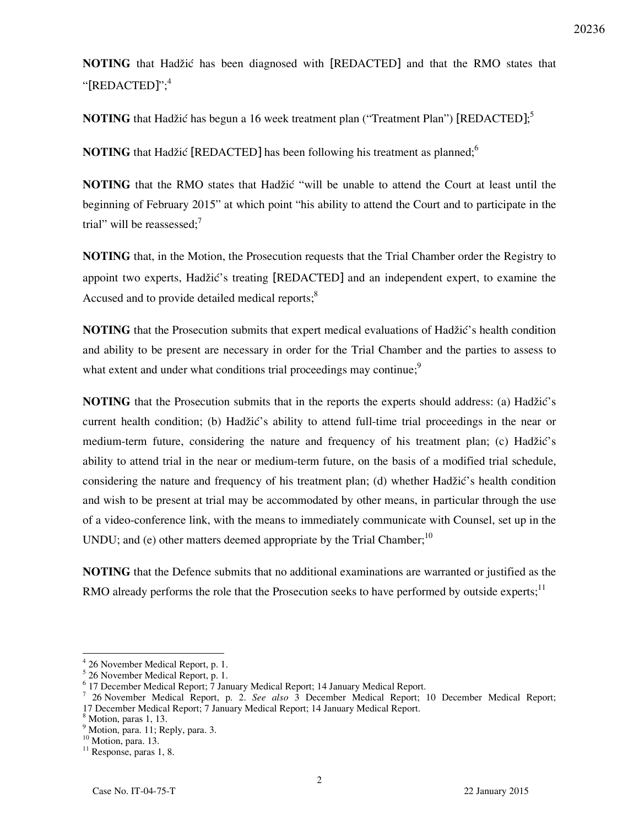**NOTING** that Hadžić has been diagnosed with [REDACTED] and that the RMO states that "[REDACTED]";<sup>4</sup>

**NOTING** that Hadžić has begun a 16 week treatment plan ("Treatment Plan") [REDACTED];<sup>5</sup>

**NOTING** that Hadžić [REDACTED] has been following his treatment as planned;<sup>6</sup>

**NOTING** that the RMO states that Hadžić "will be unable to attend the Court at least until the beginning of February 2015" at which point "his ability to attend the Court and to participate in the trial" will be reassessed; $\overline{7}$ 

**NOTING** that, in the Motion, the Prosecution requests that the Trial Chamber order the Registry to appoint two experts, Hadžić's treating [REDACTED] and an independent expert, to examine the Accused and to provide detailed medical reports; $<sup>8</sup>$ </sup>

**NOTING** that the Prosecution submits that expert medical evaluations of Hadžić's health condition and ability to be present are necessary in order for the Trial Chamber and the parties to assess to what extent and under what conditions trial proceedings may continue;<sup>9</sup>

**NOTING** that the Prosecution submits that in the reports the experts should address: (a) Hadžić's current health condition; (b) Hadžić's ability to attend full-time trial proceedings in the near or medium-term future, considering the nature and frequency of his treatment plan; (c) Hadžić's ability to attend trial in the near or medium-term future, on the basis of a modified trial schedule, considering the nature and frequency of his treatment plan; (d) whether Hadžić's health condition and wish to be present at trial may be accommodated by other means, in particular through the use of a video-conference link, with the means to immediately communicate with Counsel, set up in the UNDU; and (e) other matters deemed appropriate by the Trial Chamber;<sup>10</sup>

**NOTING** that the Defence submits that no additional examinations are warranted or justified as the RMO already performs the role that the Prosecution seeks to have performed by outside experts;<sup>11</sup>

 $\overline{a}$ 

<sup>4</sup> 26 November Medical Report, p. 1.

<sup>5</sup> 26 November Medical Report, p. 1.

<sup>&</sup>lt;sup>6</sup> 17 December Medical Report; 7 January Medical Report; 14 January Medical Report.

<sup>7</sup> 26 November Medical Report, p. 2. *See also* 3 December Medical Report; 10 December Medical Report; 17 December Medical Report; 7 January Medical Report; 14 January Medical Report.

<sup>8</sup> Motion, paras 1, 13.

<sup>&</sup>lt;sup>9</sup> Motion, para. 11; Reply, para. 3.

<sup>&</sup>lt;sup>10</sup> Motion, para. 13.

<sup>&</sup>lt;sup>11</sup> Response, paras 1, 8.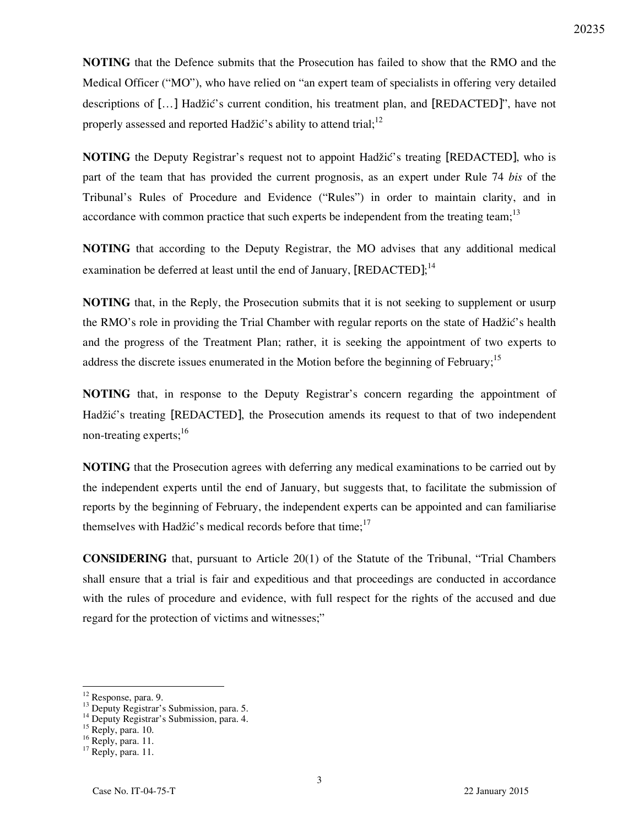**NOTING** that the Defence submits that the Prosecution has failed to show that the RMO and the Medical Officer ("MO"), who have relied on "an expert team of specialists in offering very detailed descriptions of [...] Hadžić's current condition, his treatment plan, and [REDACTED]", have not properly assessed and reported Hadžić's ability to attend trial;<sup>12</sup>

**NOTING** the Deputy Registrar's request not to appoint Hadžić's treating [REDACTED], who is part of the team that has provided the current prognosis, as an expert under Rule 74 *bis* of the Tribunal's Rules of Procedure and Evidence ("Rules") in order to maintain clarity, and in accordance with common practice that such experts be independent from the treating team;<sup>13</sup>

**NOTING** that according to the Deputy Registrar, the MO advises that any additional medical examination be deferred at least until the end of January, [REDACTED];<sup>14</sup>

**NOTING** that, in the Reply, the Prosecution submits that it is not seeking to supplement or usurp the RMO's role in providing the Trial Chamber with regular reports on the state of Hadžić's health and the progress of the Treatment Plan; rather, it is seeking the appointment of two experts to address the discrete issues enumerated in the Motion before the beginning of February;<sup>15</sup>

**NOTING** that, in response to the Deputy Registrar's concern regarding the appointment of Hadžić's treating [REDACTED], the Prosecution amends its request to that of two independent non-treating experts; $^{16}$ 

**NOTING** that the Prosecution agrees with deferring any medical examinations to be carried out by the independent experts until the end of January, but suggests that, to facilitate the submission of reports by the beginning of February, the independent experts can be appointed and can familiarise themselves with Hadžić's medical records before that time;<sup>17</sup>

**CONSIDERING** that, pursuant to Article 20(1) of the Statute of the Tribunal, "Trial Chambers shall ensure that a trial is fair and expeditious and that proceedings are conducted in accordance with the rules of procedure and evidence, with full respect for the rights of the accused and due regard for the protection of victims and witnesses;"

 $\overline{a}$ 

<sup>&</sup>lt;sup>12</sup> Response, para. 9.

 $13$  Deputy Registrar's Submission, para. 5.

<sup>&</sup>lt;sup>14</sup> Deputy Registrar's Submission, para. 4.

<sup>&</sup>lt;sup>15</sup> Reply, para. 10.

<sup>16</sup> Reply, para. 11.

<sup>&</sup>lt;sup>17</sup> Reply, para. 11.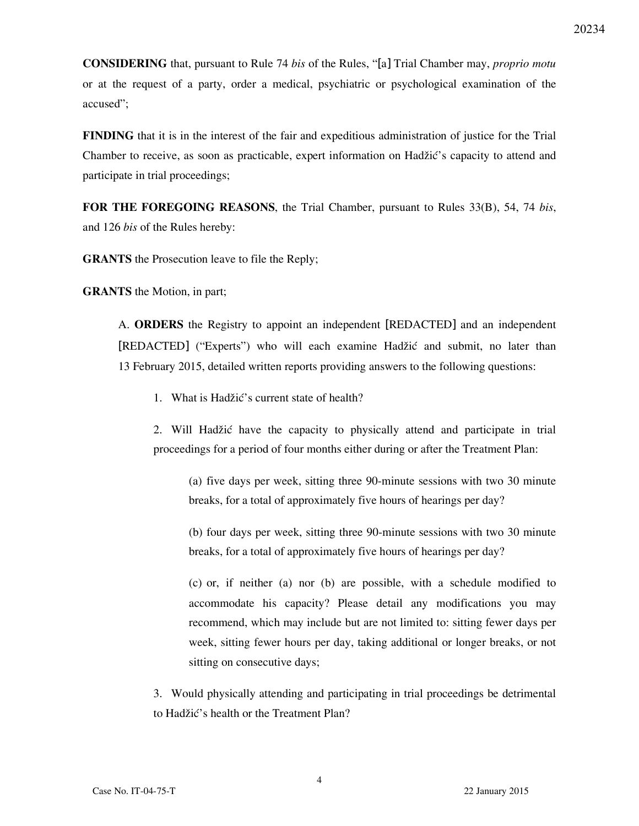**CONSIDERING** that, pursuant to Rule 74 *bis* of the Rules, "[a] Trial Chamber may, *proprio motu* or at the request of a party, order a medical, psychiatric or psychological examination of the accused";

**FINDING** that it is in the interest of the fair and expeditious administration of justice for the Trial Chamber to receive, as soon as practicable, expert information on Hadžić's capacity to attend and participate in trial proceedings;

**FOR THE FOREGOING REASONS**, the Trial Chamber, pursuant to Rules 33(B), 54, 74 *bis*, and 126 *bis* of the Rules hereby:

**GRANTS** the Prosecution leave to file the Reply;

**GRANTS** the Motion, in part;

A. **ORDERS** the Registry to appoint an independent [REDACTED] and an independent [REDACTED] ("Experts") who will each examine Hadžić and submit, no later than 13 February 2015, detailed written reports providing answers to the following questions:

1. What is Hadžić's current state of health?

2. Will Hadžić have the capacity to physically attend and participate in trial proceedings for a period of four months either during or after the Treatment Plan:

(a) five days per week, sitting three 90-minute sessions with two 30 minute breaks, for a total of approximately five hours of hearings per day?

(b) four days per week, sitting three 90-minute sessions with two 30 minute breaks, for a total of approximately five hours of hearings per day?

(c) or, if neither (a) nor (b) are possible, with a schedule modified to accommodate his capacity? Please detail any modifications you may recommend, which may include but are not limited to: sitting fewer days per week, sitting fewer hours per day, taking additional or longer breaks, or not sitting on consecutive days;

3. Would physically attending and participating in trial proceedings be detrimental to Hadžić's health or the Treatment Plan?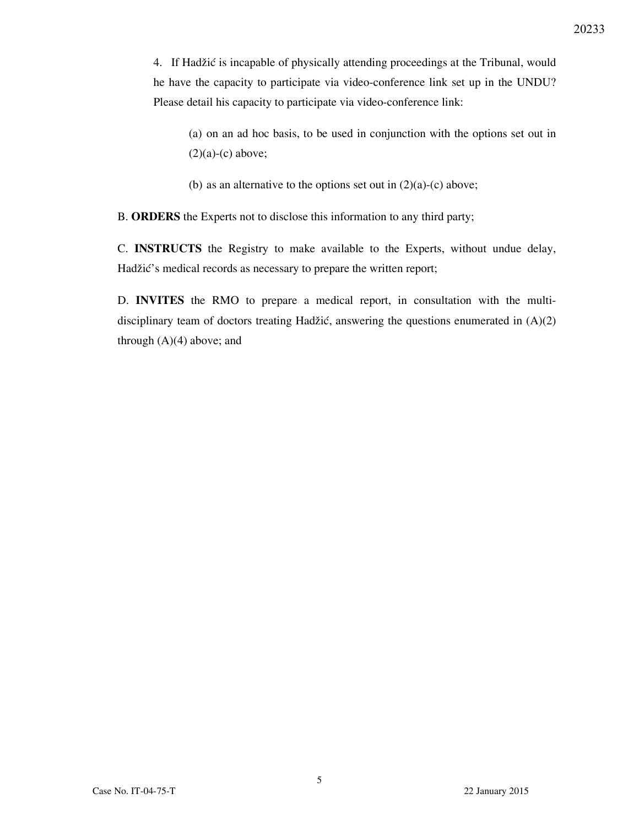4. If Hadžić is incapable of physically attending proceedings at the Tribunal, would he have the capacity to participate via video-conference link set up in the UNDU? Please detail his capacity to participate via video-conference link:

(a) on an ad hoc basis, to be used in conjunction with the options set out in  $(2)(a)-(c)$  above;

(b) as an alternative to the options set out in  $(2)(a)-(c)$  above;

B. **ORDERS** the Experts not to disclose this information to any third party;

C. **INSTRUCTS** the Registry to make available to the Experts, without undue delay, Hadžić's medical records as necessary to prepare the written report;

D. **INVITES** the RMO to prepare a medical report, in consultation with the multidisciplinary team of doctors treating Hadžić, answering the questions enumerated in  $(A)(2)$ through  $(A)(4)$  above; and